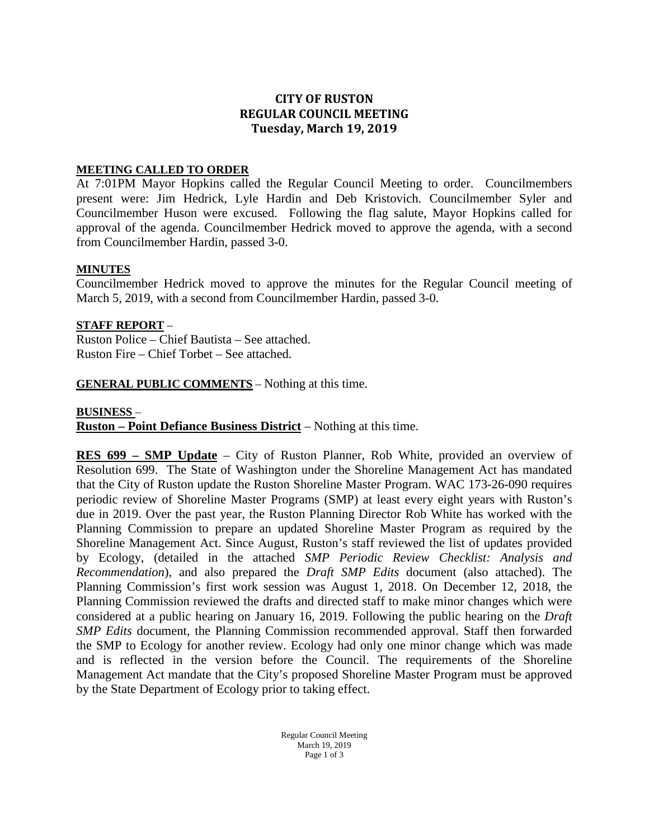# **CITY OF RUSTON REGULAR COUNCIL MEETING Tuesday, March 19, 2019**

## **MEETING CALLED TO ORDER**

At 7:01PM Mayor Hopkins called the Regular Council Meeting to order. Councilmembers present were: Jim Hedrick, Lyle Hardin and Deb Kristovich. Councilmember Syler and Councilmember Huson were excused. Following the flag salute, Mayor Hopkins called for approval of the agenda. Councilmember Hedrick moved to approve the agenda, with a second from Councilmember Hardin, passed 3-0.

#### **MINUTES**

Councilmember Hedrick moved to approve the minutes for the Regular Council meeting of March 5, 2019, with a second from Councilmember Hardin, passed 3-0.

### **STAFF REPORT** –

Ruston Police – Chief Bautista – See attached. Ruston Fire – Chief Torbet – See attached.

**GENERAL PUBLIC COMMENTS** – Nothing at this time.

#### **BUSINESS** –

**Ruston – Point Defiance Business District** – Nothing at this time.

**RES 699 – SMP Update** – City of Ruston Planner, Rob White, provided an overview of Resolution 699. The State of Washington under the Shoreline Management Act has mandated that the City of Ruston update the Ruston Shoreline Master Program. WAC 173-26-090 requires periodic review of Shoreline Master Programs (SMP) at least every eight years with Ruston's due in 2019. Over the past year, the Ruston Planning Director Rob White has worked with the Planning Commission to prepare an updated Shoreline Master Program as required by the Shoreline Management Act. Since August, Ruston's staff reviewed the list of updates provided by Ecology, (detailed in the attached *SMP Periodic Review Checklist: Analysis and Recommendation*), and also prepared the *Draft SMP Edits* document (also attached). The Planning Commission's first work session was August 1, 2018. On December 12, 2018, the Planning Commission reviewed the drafts and directed staff to make minor changes which were considered at a public hearing on January 16, 2019. Following the public hearing on the *Draft SMP Edits* document, the Planning Commission recommended approval. Staff then forwarded the SMP to Ecology for another review. Ecology had only one minor change which was made and is reflected in the version before the Council. The requirements of the Shoreline Management Act mandate that the City's proposed Shoreline Master Program must be approved by the State Department of Ecology prior to taking effect.

> Regular Council Meeting March 19, 2019 Page 1 of 3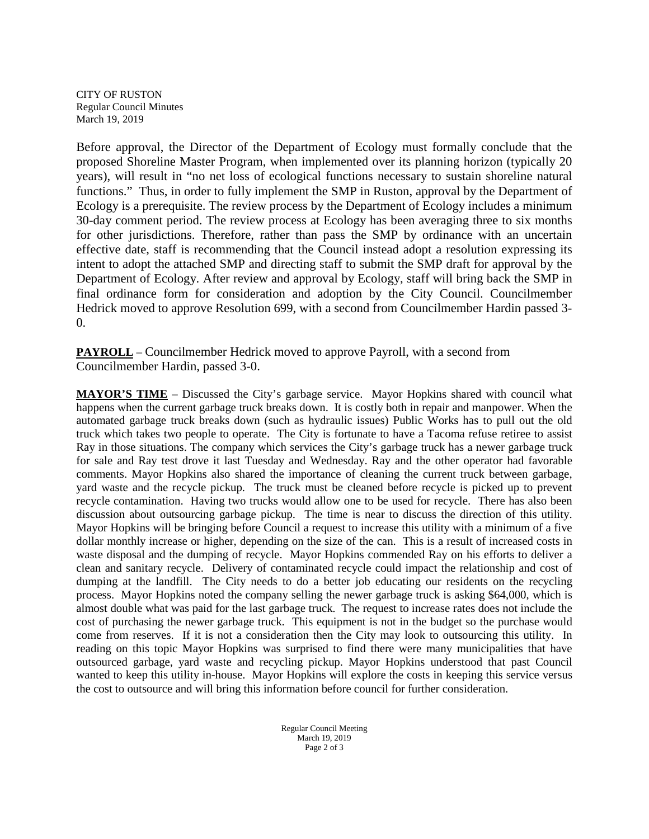CITY OF RUSTON Regular Council Minutes March 19, 2019

Before approval, the Director of the Department of Ecology must formally conclude that the proposed Shoreline Master Program, when implemented over its planning horizon (typically 20 years), will result in "no net loss of ecological functions necessary to sustain shoreline natural functions." Thus, in order to fully implement the SMP in Ruston, approval by the Department of Ecology is a prerequisite. The review process by the Department of Ecology includes a minimum 30-day comment period. The review process at Ecology has been averaging three to six months for other jurisdictions. Therefore, rather than pass the SMP by ordinance with an uncertain effective date, staff is recommending that the Council instead adopt a resolution expressing its intent to adopt the attached SMP and directing staff to submit the SMP draft for approval by the Department of Ecology. After review and approval by Ecology, staff will bring back the SMP in final ordinance form for consideration and adoption by the City Council. Councilmember Hedrick moved to approve Resolution 699, with a second from Councilmember Hardin passed 3-  $\Omega$ .

**PAYROLL** – Councilmember Hedrick moved to approve Payroll, with a second from Councilmember Hardin, passed 3-0.

**MAYOR'S TIME** – Discussed the City's garbage service. Mayor Hopkins shared with council what happens when the current garbage truck breaks down. It is costly both in repair and manpower. When the automated garbage truck breaks down (such as hydraulic issues) Public Works has to pull out the old truck which takes two people to operate. The City is fortunate to have a Tacoma refuse retiree to assist Ray in those situations. The company which services the City's garbage truck has a newer garbage truck for sale and Ray test drove it last Tuesday and Wednesday. Ray and the other operator had favorable comments. Mayor Hopkins also shared the importance of cleaning the current truck between garbage, yard waste and the recycle pickup. The truck must be cleaned before recycle is picked up to prevent recycle contamination. Having two trucks would allow one to be used for recycle. There has also been discussion about outsourcing garbage pickup. The time is near to discuss the direction of this utility. Mayor Hopkins will be bringing before Council a request to increase this utility with a minimum of a five dollar monthly increase or higher, depending on the size of the can. This is a result of increased costs in waste disposal and the dumping of recycle. Mayor Hopkins commended Ray on his efforts to deliver a clean and sanitary recycle. Delivery of contaminated recycle could impact the relationship and cost of dumping at the landfill. The City needs to do a better job educating our residents on the recycling process. Mayor Hopkins noted the company selling the newer garbage truck is asking \$64,000, which is almost double what was paid for the last garbage truck. The request to increase rates does not include the cost of purchasing the newer garbage truck. This equipment is not in the budget so the purchase would come from reserves. If it is not a consideration then the City may look to outsourcing this utility. In reading on this topic Mayor Hopkins was surprised to find there were many municipalities that have outsourced garbage, yard waste and recycling pickup. Mayor Hopkins understood that past Council wanted to keep this utility in-house. Mayor Hopkins will explore the costs in keeping this service versus the cost to outsource and will bring this information before council for further consideration.

> Regular Council Meeting March 19, 2019 Page 2 of 3